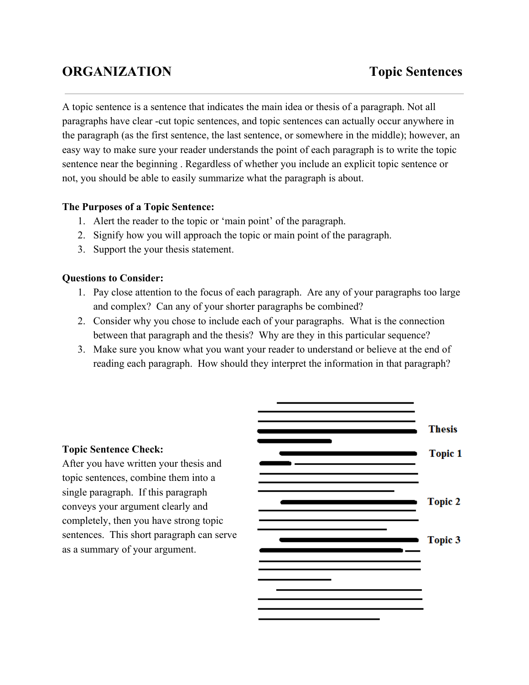# **ORGANIZATION Topic Sentences**

A topic sentence is a sentence that indicates the main idea or thesis of a paragraph. Not all paragraphs have clear -cut topic sentences, and topic sentences can actually occur anywhere in the paragraph (as the first sentence, the last sentence, or somewhere in the middle); however, an easy way to make sure your reader understands the point of each paragraph is to write the topic sentence near the beginning . Regardless of whether you include an explicit topic sentence or not, you should be able to easily summarize what the paragraph is about.

### **The Purposes of a Topic Sentence:**

- 1. Alert the reader to the topic or 'main point' of the paragraph.
- 2. Signify how you will approach the topic or main point of the paragraph.
- 3. Support the your thesis statement.

#### **Questions to Consider:**

- 1. Pay close attention to the focus of each paragraph. Are any of your paragraphs too large and complex? Can any of your shorter paragraphs be combined?
- 2. Consider why you chose to include each of your paragraphs. What is the connection between that paragraph and the thesis? Why are they in this particular sequence?
- 3. Make sure you know what you want your reader to understand or believe at the end of reading each paragraph. How should they interpret the information in that paragraph?